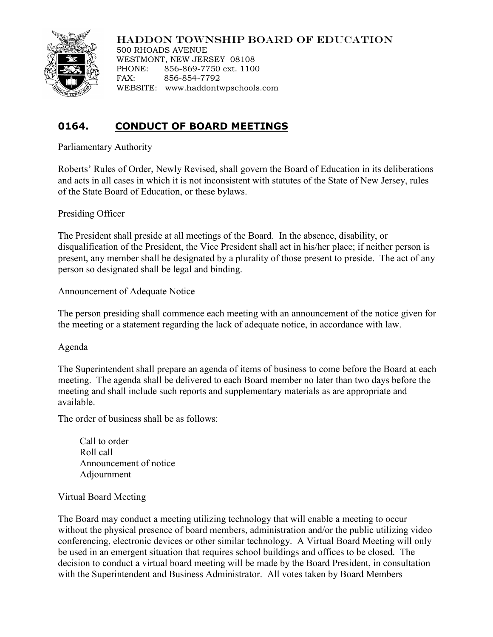

## HADDON TOWNSHIP BOARD OF EDUCATION

500 RHOADS AVENUE WESTMONT, NEW JERSEY 08108 PHONE: 856-869-7750 ext. 1100 FAX: 856-854-7792 WEBSITE: www.haddontwpschools.com

## **0164. CONDUCT OF BOARD MEETINGS**

Parliamentary Authority

Roberts' Rules of Order, Newly Revised, shall govern the Board of Education in its deliberations and acts in all cases in which it is not inconsistent with statutes of the State of New Jersey, rules of the State Board of Education, or these bylaws.

Presiding Officer

The President shall preside at all meetings of the Board. In the absence, disability, or disqualification of the President, the Vice President shall act in his/her place; if neither person is present, any member shall be designated by a plurality of those present to preside. The act of any person so designated shall be legal and binding.

Announcement of Adequate Notice

The person presiding shall commence each meeting with an announcement of the notice given for the meeting or a statement regarding the lack of adequate notice, in accordance with law.

Agenda

The Superintendent shall prepare an agenda of items of business to come before the Board at each meeting. The agenda shall be delivered to each Board member no later than two days before the meeting and shall include such reports and supplementary materials as are appropriate and available.

The order of business shall be as follows:

Call to order Roll call Announcement of notice Adjournment

## Virtual Board Meeting

The Board may conduct a meeting utilizing technology that will enable a meeting to occur without the physical presence of board members, administration and/or the public utilizing video conferencing, electronic devices or other similar technology. A Virtual Board Meeting will only be used in an emergent situation that requires school buildings and offices to be closed. The decision to conduct a virtual board meeting will be made by the Board President, in consultation with the Superintendent and Business Administrator. All votes taken by Board Members